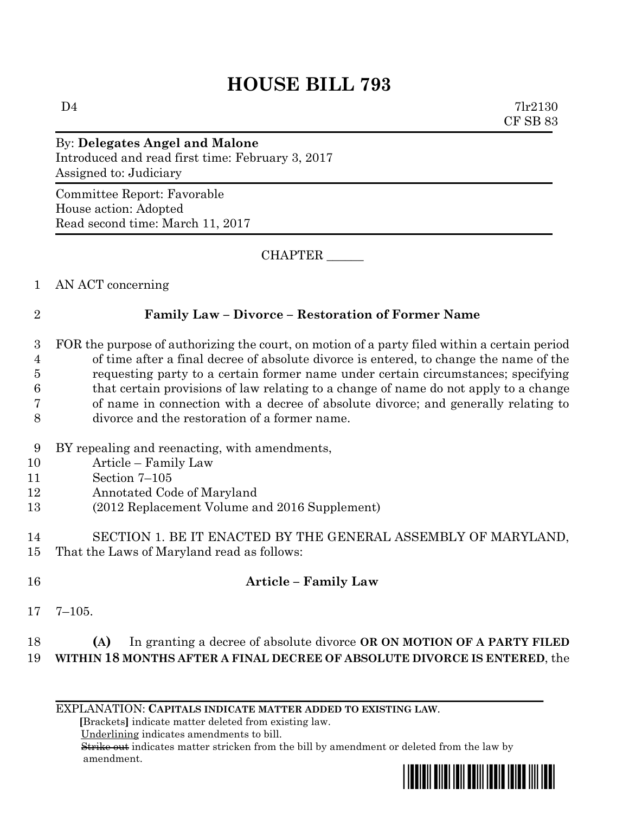# **HOUSE BILL 793**

 $D4$   $7lr2130$ CF SB 83

## By: **Delegates Angel and Malone** Introduced and read first time: February 3, 2017 Assigned to: Judiciary

Committee Report: Favorable House action: Adopted Read second time: March 11, 2017

CHAPTER \_\_\_\_\_\_

1 AN ACT concerning

#### 2 **Family Law – Divorce – Restoration of Former Name**

- 3 FOR the purpose of authorizing the court, on motion of a party filed within a certain period 4 of time after a final decree of absolute divorce is entered, to change the name of the 5 requesting party to a certain former name under certain circumstances; specifying 6 that certain provisions of law relating to a change of name do not apply to a change 7 of name in connection with a decree of absolute divorce; and generally relating to 8 divorce and the restoration of a former name.
- 9 BY repealing and reenacting, with amendments,
- 10 Article Family Law
- 11 Section 7–105
- 12 Annotated Code of Maryland
- 13 (2012 Replacement Volume and 2016 Supplement)
- 14 SECTION 1. BE IT ENACTED BY THE GENERAL ASSEMBLY OF MARYLAND, 15 That the Laws of Maryland read as follows:
- 16 **Article – Family Law**
- 17 7–105.

#### 18 **(A)** In granting a decree of absolute divorce **OR ON MOTION OF A PARTY FILED**  19 **WITHIN 18 MONTHS AFTER A FINAL DECREE OF ABSOLUTE DIVORCE IS ENTERED**, the

EXPLANATION: **CAPITALS INDICATE MATTER ADDED TO EXISTING LAW**.

 **[**Brackets**]** indicate matter deleted from existing law.

Underlining indicates amendments to bill.

 Strike out indicates matter stricken from the bill by amendment or deleted from the law by amendment.